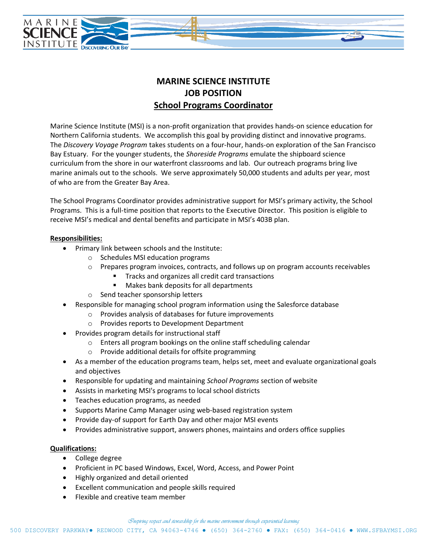

# **MARINE SCIENCE INSTITUTE JOB POSITION School Programs Coordinator**

Marine Science Institute (MSI) is a non-profit organization that provides hands-on science education for Northern California students. We accomplish this goal by providing distinct and innovative programs. The *Discovery Voyage Program* takes students on a four-hour, hands-on exploration of the San Francisco Bay Estuary. For the younger students, the *Shoreside Programs* emulate the shipboard science curriculum from the shore in our waterfront classrooms and lab. Our outreach programs bring live marine animals out to the schools. We serve approximately 50,000 students and adults per year, most of who are from the Greater Bay Area.

The School Programs Coordinator provides administrative support for MSI's primary activity, the School Programs. This is a full-time position that reports to the Executive Director. This position is eligible to receive MSI's medical and dental benefits and participate in MSI's 403B plan.

### **Responsibilities:**

- Primary link between schools and the Institute:
	- o Schedules MSI education programs
	- $\circ$  Prepares program invoices, contracts, and follows up on program accounts receivables
		- Tracks and organizes all credit card transactions
		- Makes bank deposits for all departments
	- o Send teacher sponsorship letters
- Responsible for managing school program information using the Salesforce database
	- o Provides analysis of databases for future improvements
	- o Provides reports to Development Department
- Provides program details for instructional staff
	- o Enters all program bookings on the online staff scheduling calendar
	- o Provide additional details for offsite programming
- As a member of the education programs team, helps set, meet and evaluate organizational goals and objectives
- Responsible for updating and maintaining *School Programs* section of website
- Assists in marketing MSI's programs to local school districts
- Teaches education programs, as needed
- Supports Marine Camp Manager using web-based registration system
- Provide day-of support for Earth Day and other major MSI events
- Provides administrative support, answers phones, maintains and orders office supplies

### **Qualifications:**

- College degree
- Proficient in PC based Windows, Excel, Word, Access, and Power Point
- Highly organized and detail oriented
- Excellent communication and people skills required
- Flexible and creative team member